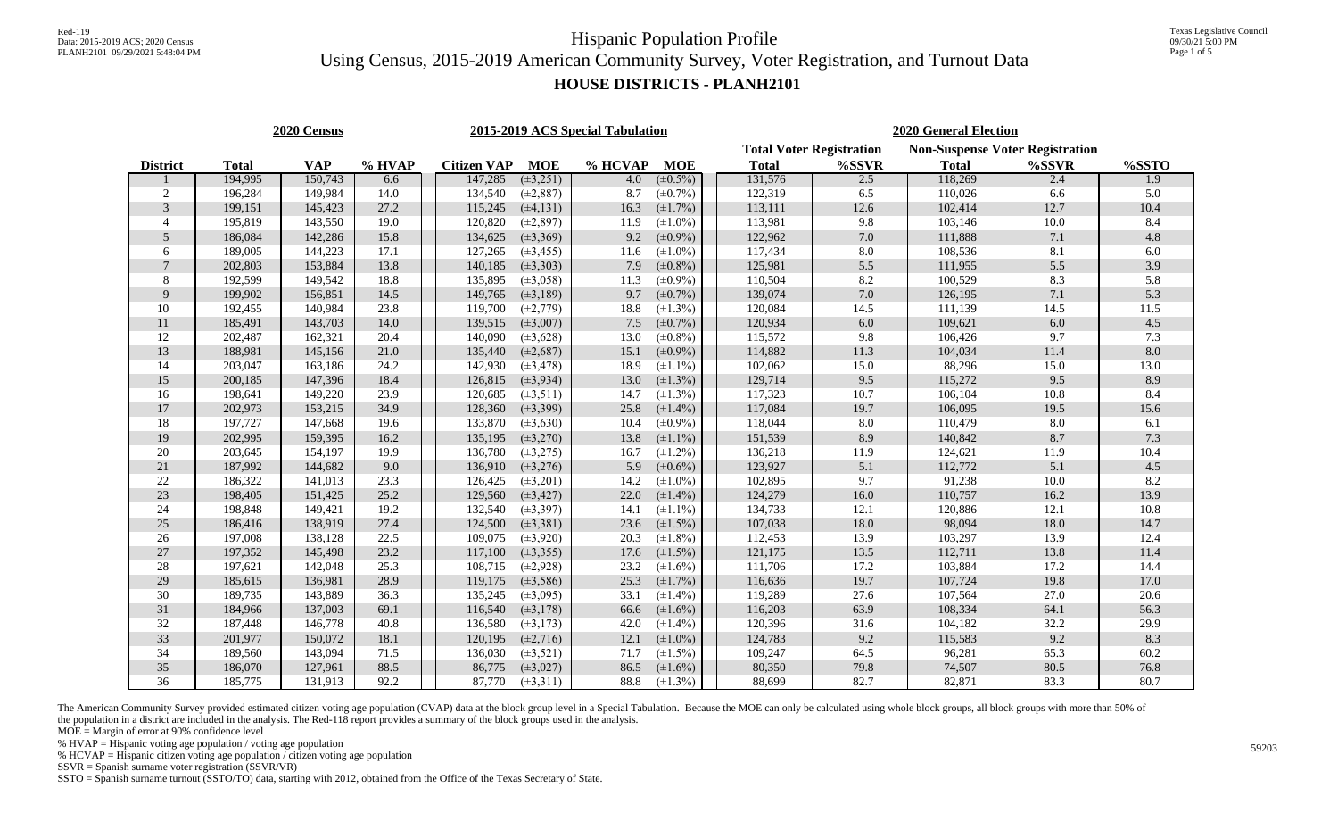#### **HOUSE DISTRICTS - PLANH2101**

| 2020 Census     |              |            |        |  |                    |                | 2015-2019 ACS Special Tabulation |               | <b>2020 General Election</b>    |       |                                        |          |                  |  |  |  |
|-----------------|--------------|------------|--------|--|--------------------|----------------|----------------------------------|---------------|---------------------------------|-------|----------------------------------------|----------|------------------|--|--|--|
|                 |              |            |        |  |                    |                |                                  |               | <b>Total Voter Registration</b> |       | <b>Non-Suspense Voter Registration</b> |          |                  |  |  |  |
| <b>District</b> | <b>Total</b> | <b>VAP</b> | % HVAP |  | <b>Citizen VAP</b> | <b>MOE</b>     | % HCVAP                          | <b>MOE</b>    | <b>Total</b>                    | %SSVR | <b>Total</b>                           | %SSVR    | %SSTO            |  |  |  |
|                 | 194,995      | 150,743    | 6.6    |  | 147,285            | $(\pm 3, 251)$ | 4.0                              | $(\pm 0.5\%)$ | 131,576                         | 2.5   | 118,269                                | 2.4      | $\overline{1.9}$ |  |  |  |
| $\mathbf{2}$    | 196,284      | 149,984    | 14.0   |  | 134,540            | $(\pm 2, 887)$ | 8.7                              | $(\pm 0.7\%)$ | 122,319                         | 6.5   | 110,026                                | 6.6      | 5.0              |  |  |  |
| 3               | 199,151      | 145,423    | 27.2   |  | 115,245            | $(\pm 4, 131)$ | 16.3                             | $(\pm 1.7\%)$ | 113,111                         | 12.6  | 102,414                                | 12.7     | 10.4             |  |  |  |
| 4               | 195,819      | 143,550    | 19.0   |  | 120,820            | $(\pm 2, 897)$ | 11.9                             | $(\pm 1.0\%)$ | 113,981                         | 9.8   | 103,146                                | 10.0     | 8.4              |  |  |  |
| 5               | 186,084      | 142,286    | 15.8   |  | 134,625            | $(\pm 3, 369)$ | 9.2                              | $(\pm 0.9\%)$ | 122,962                         | 7.0   | 111,888                                | 7.1      | 4.8              |  |  |  |
| 6               | 189,005      | 144,223    | 17.1   |  | 127,265            | $(\pm 3, 455)$ | 11.6                             | $(\pm 1.0\%)$ | 117,434                         | 8.0   | 108,536                                | 8.1      | $6.0\,$          |  |  |  |
| $\overline{7}$  | 202,803      | 153,884    | 13.8   |  | 140,185            | $(\pm 3, 303)$ | 7.9                              | $(\pm 0.8\%)$ | 125,981                         | 5.5   | 111,955                                | 5.5      | 3.9              |  |  |  |
| 8               | 192,599      | 149,542    | 18.8   |  | 135,895            | $(\pm 3, 058)$ | 11.3                             | $(\pm 0.9\%)$ | 110,504                         | 8.2   | 100,529                                | 8.3      | 5.8              |  |  |  |
| 9               | 199,902      | 156,851    | 14.5   |  | 149,765            | $(\pm 3, 189)$ | 9.7                              | $(\pm 0.7\%)$ | 139,074                         | 7.0   | 126,195                                | 7.1      | 5.3              |  |  |  |
| 10              | 192,455      | 140,984    | 23.8   |  | 119,700            | $(\pm 2, 779)$ | 18.8                             | $(\pm 1.3\%)$ | 120,084                         | 14.5  | 111,139                                | 14.5     | 11.5             |  |  |  |
| 11              | 185,491      | 143,703    | 14.0   |  | 139,515            | $(\pm 3,007)$  | 7.5                              | $(\pm 0.7\%)$ | 120,934                         | 6.0   | 109,621                                | 6.0      | 4.5              |  |  |  |
| 12              | 202,487      | 162,321    | 20.4   |  | 140,090            | $(\pm 3, 628)$ | 13.0                             | $(\pm 0.8\%)$ | 115,572                         | 9.8   | 106,426                                | 9.7      | 7.3              |  |  |  |
| 13              | 188,981      | 145,156    | 21.0   |  | 135,440            | $(\pm 2,687)$  | 15.1                             | $(\pm 0.9\%)$ | 114,882                         | 11.3  | 104,034                                | $11.4\,$ | $8.0\,$          |  |  |  |
| 14              | 203,047      | 163,186    | 24.2   |  | 142,930            | $(\pm 3, 478)$ | 18.9                             | $(\pm 1.1\%)$ | 102,062                         | 15.0  | 88,296                                 | 15.0     | 13.0             |  |  |  |
| 15              | 200,185      | 147,396    | 18.4   |  | 126,815            | $(\pm 3, 934)$ | 13.0                             | $(\pm 1.3\%)$ | 129,714                         | 9.5   | 115,272                                | 9.5      | 8.9              |  |  |  |
| 16              | 198,641      | 149,220    | 23.9   |  | 120,685            | $(\pm 3, 511)$ | 14.7                             | $(\pm 1.3\%)$ | 117,323                         | 10.7  | 106,104                                | 10.8     | 8.4              |  |  |  |
| 17              | 202,973      | 153,215    | 34.9   |  | 128,360            | $(\pm 3, 399)$ | 25.8                             | $(\pm 1.4\%)$ | 117,084                         | 19.7  | 106,095                                | 19.5     | 15.6             |  |  |  |
| 18              | 197,727      | 147,668    | 19.6   |  | 133,870            | $(\pm 3, 630)$ | 10.4                             | $(\pm 0.9\%)$ | 118,044                         | 8.0   | 110,479                                | $8.0\,$  | 6.1              |  |  |  |
| 19              | 202,995      | 159,395    | 16.2   |  | 135,195            | $(\pm 3, 270)$ | 13.8                             | $(\pm 1.1\%)$ | 151,539                         | 8.9   | 140,842                                | 8.7      | 7.3              |  |  |  |
| 20              | 203,645      | 154,197    | 19.9   |  | 136,780            | $(\pm 3, 275)$ | 16.7                             | $(\pm 1.2\%)$ | 136,218                         | 11.9  | 124,621                                | 11.9     | 10.4             |  |  |  |
| 21              | 187,992      | 144,682    | 9.0    |  | 136,910            | $(\pm 3, 276)$ | 5.9                              | $(\pm 0.6\%)$ | 123,927                         | 5.1   | 112,772                                | 5.1      | 4.5              |  |  |  |
| $22\,$          | 186,322      | 141,013    | 23.3   |  | 126,425            | $(\pm 3, 201)$ | 14.2                             | $(\pm 1.0\%)$ | 102,895                         | 9.7   | 91,238                                 | 10.0     | 8.2              |  |  |  |
| 23              | 198,405      | 151,425    | 25.2   |  | 129,560            | $(\pm 3, 427)$ | 22.0                             | $(\pm 1.4\%)$ | 124,279                         | 16.0  | 110,757                                | 16.2     | 13.9             |  |  |  |
| 24              | 198,848      | 149,421    | 19.2   |  | 132,540            | $(\pm 3, 397)$ | 14.1                             | $(\pm 1.1\%)$ | 134,733                         | 12.1  | 120,886                                | 12.1     | 10.8             |  |  |  |
| $25\,$          | 186,416      | 138,919    | 27.4   |  | 124,500            | $(\pm 3, 381)$ | 23.6                             | $(\pm 1.5\%)$ | 107,038                         | 18.0  | 98,094                                 | 18.0     | 14.7             |  |  |  |
| $26\,$          | 197,008      | 138,128    | 22.5   |  | 109,075            | $(\pm 3, 920)$ | 20.3                             | $(\pm 1.8\%)$ | 112,453                         | 13.9  | 103,297                                | 13.9     | 12.4             |  |  |  |
| $27\,$          | 197,352      | 145,498    | 23.2   |  | 117,100            | $(\pm 3, 355)$ | 17.6                             | $(\pm 1.5\%)$ | 121,175                         | 13.5  | 112,711                                | 13.8     | 11.4             |  |  |  |
| 28              | 197,621      | 142,048    | 25.3   |  | 108,715            | $(\pm 2, 928)$ | 23.2                             | $(\pm 1.6\%)$ | 111,706                         | 17.2  | 103,884                                | 17.2     | 14.4             |  |  |  |
| 29              | 185,615      | 136,981    | 28.9   |  | 119,175            | $(\pm 3, 586)$ | 25.3                             | $(\pm 1.7\%)$ | 116,636                         | 19.7  | 107,724                                | 19.8     | 17.0             |  |  |  |
| $30\,$          | 189,735      | 143,889    | 36.3   |  | 135,245            | $(\pm 3,095)$  | 33.1                             | $(\pm 1.4\%)$ | 119,289                         | 27.6  | 107,564                                | 27.0     | 20.6             |  |  |  |
| 31              | 184,966      | 137,003    | 69.1   |  | 116,540            | $(\pm 3, 178)$ | 66.6                             | $(\pm 1.6\%)$ | 116,203                         | 63.9  | 108,334                                | 64.1     | 56.3             |  |  |  |
| 32              | 187,448      | 146,778    | 40.8   |  | 136,580            | $(\pm 3, 173)$ | 42.0                             | $(\pm 1.4\%)$ | 120,396                         | 31.6  | 104,182                                | 32.2     | 29.9             |  |  |  |
| 33              | 201,977      | 150,072    | 18.1   |  | 120,195            | $(\pm 2, 716)$ | 12.1                             | $(\pm 1.0\%)$ | 124,783                         | 9.2   | 115,583                                | 9.2      | 8.3              |  |  |  |
| 34              | 189,560      | 143,094    | 71.5   |  | 136,030            | $(\pm 3, 521)$ | 71.7                             | $(\pm 1.5\%)$ | 109,247                         | 64.5  | 96,281                                 | 65.3     | 60.2             |  |  |  |
| 35              | 186,070      | 127,961    | 88.5   |  | 86,775             | $(\pm 3, 027)$ | 86.5                             | $(\pm 1.6\%)$ | 80,350                          | 79.8  | 74,507                                 | 80.5     | 76.8             |  |  |  |
| 36              | 185,775      | 131,913    | 92.2   |  | 87,770             | $(\pm 3, 311)$ | 88.8                             | $(\pm 1.3\%)$ | 88,699                          | 82.7  | 82,871                                 | 83.3     | 80.7             |  |  |  |

The American Community Survey provided estimated citizen voting age population (CVAP) data at the block group level in a Special Tabulation. Because the MOE can only be calculated using whole block groups, all block groups the population in a district are included in the analysis. The Red-118 report provides a summary of the block groups used in the analysis.

 $MOE = Margin$  of error at 90% confidence level

% HVAP = Hispanic voting age population / voting age population

% HCVAP = Hispanic citizen voting age population  $\sqrt{\overline{C}}$  citizen voting age population

SSVR = Spanish surname voter registration (SSVR/VR)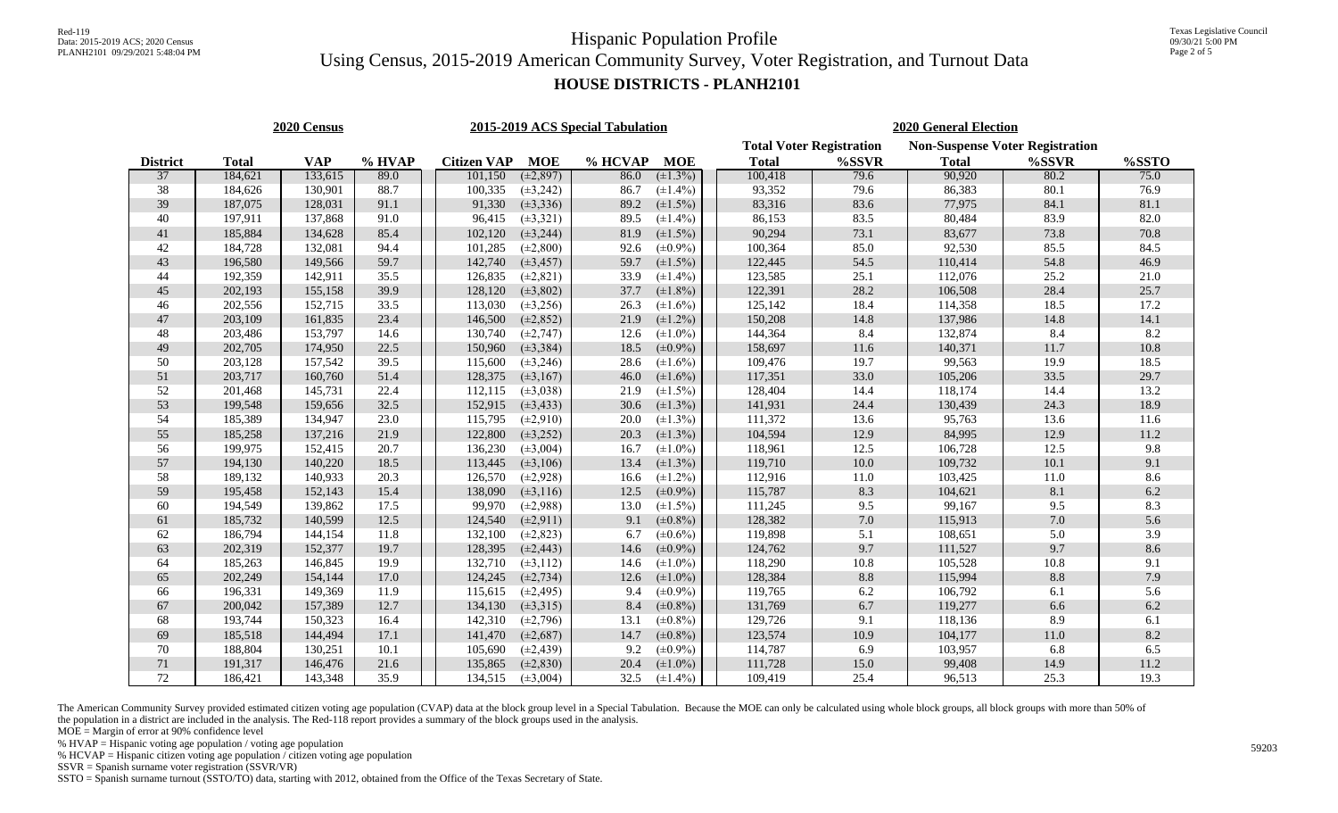### **HOUSE DISTRICTS - PLANH2101**

| 2020 Census     |              |            |        |  |                    |                | 2015-2019 ACS Special Tabulation |               | <b>2020 General Election</b>                                              |          |              |          |          |  |  |
|-----------------|--------------|------------|--------|--|--------------------|----------------|----------------------------------|---------------|---------------------------------------------------------------------------|----------|--------------|----------|----------|--|--|
|                 |              |            |        |  |                    |                |                                  |               | <b>Non-Suspense Voter Registration</b><br><b>Total Voter Registration</b> |          |              |          |          |  |  |
| <b>District</b> | <b>Total</b> | <b>VAP</b> | % HVAP |  | <b>Citizen VAP</b> | <b>MOE</b>     | % HCVAP                          | <b>MOE</b>    | <b>Total</b>                                                              | %SSVR    | <b>Total</b> | %SSVR    | %SSTO    |  |  |
| 37              | 184,621      | 133,615    | 89.0   |  | 101,150            | $(\pm 2, 897)$ | 86.0                             | $(\pm 1.3\%)$ | 100,418                                                                   | 79.6     | 90,920       | 80.2     | 75.0     |  |  |
| 38              | 184,626      | 130,901    | 88.7   |  | 100,335            | $(\pm 3, 242)$ | 86.7                             | $(\pm 1.4\%)$ | 93,352                                                                    | 79.6     | 86,383       | 80.1     | 76.9     |  |  |
| 39              | 187,075      | 128,031    | 91.1   |  | 91,330             | $(\pm 3, 336)$ | 89.2                             | $(\pm 1.5\%)$ | 83,316                                                                    | 83.6     | 77,975       | 84.1     | 81.1     |  |  |
| 40              | 197,911      | 137,868    | 91.0   |  | 96,415             | $(\pm 3, 321)$ | 89.5                             | $(\pm 1.4\%)$ | 86,153                                                                    | 83.5     | 80,484       | 83.9     | 82.0     |  |  |
| 41              | 185,884      | 134,628    | 85.4   |  | 102,120            | $(\pm 3, 244)$ | 81.9                             | $(\pm 1.5\%)$ | 90,294                                                                    | 73.1     | 83,677       | 73.8     | 70.8     |  |  |
| 42              | 184,728      | 132,081    | 94.4   |  | 101,285            | $(\pm 2, 800)$ | 92.6                             | $(\pm 0.9\%)$ | 100,364                                                                   | 85.0     | 92,530       | 85.5     | 84.5     |  |  |
| 43              | 196,580      | 149,566    | 59.7   |  | 142,740            | $(\pm 3, 457)$ | 59.7                             | $(\pm 1.5\%)$ | 122,445                                                                   | 54.5     | 110,414      | 54.8     | 46.9     |  |  |
| 44              | 192,359      | 142,911    | 35.5   |  | 126,835            | $(\pm 2, 821)$ | 33.9                             | $(\pm 1.4\%)$ | 123,585                                                                   | 25.1     | 112,076      | 25.2     | 21.0     |  |  |
| 45              | 202,193      | 155,158    | 39.9   |  | 128,120            | $(\pm 3, 802)$ | 37.7                             | $(\pm 1.8\%)$ | 122,391                                                                   | 28.2     | 106,508      | 28.4     | 25.7     |  |  |
| 46              | 202,556      | 152,715    | 33.5   |  | 113,030            | $(\pm 3, 256)$ | 26.3                             | $(\pm 1.6\%)$ | 125,142                                                                   | 18.4     | 114,358      | 18.5     | 17.2     |  |  |
| 47              | 203,109      | 161,835    | 23.4   |  | 146,500            | $(\pm 2, 852)$ | 21.9                             | $(\pm 1.2\%)$ | 150,208                                                                   | 14.8     | 137,986      | 14.8     | 14.1     |  |  |
| 48              | 203,486      | 153,797    | 14.6   |  | 130,740            | $(\pm 2, 747)$ | 12.6                             | $(\pm 1.0\%)$ | 144,364                                                                   | 8.4      | 132,874      | 8.4      | 8.2      |  |  |
| $49\,$          | 202,705      | 174,950    | 22.5   |  | 150,960            | $(\pm 3, 384)$ | 18.5                             | $(\pm 0.9\%)$ | 158,697                                                                   | 11.6     | 140,371      | 11.7     | $10.8\,$ |  |  |
| 50              | 203,128      | 157,542    | 39.5   |  | 115,600            | $(\pm 3, 246)$ | 28.6                             | $(\pm 1.6\%)$ | 109,476                                                                   | 19.7     | 99,563       | 19.9     | 18.5     |  |  |
| 51              | 203,717      | 160,760    | 51.4   |  | 128,375            | $(\pm 3, 167)$ | 46.0                             | $(\pm 1.6\%)$ | 117,351                                                                   | 33.0     | 105,206      | 33.5     | 29.7     |  |  |
| 52              | 201,468      | 145,731    | 22.4   |  | 112,115            | $(\pm 3, 038)$ | 21.9                             | $(\pm 1.5\%)$ | 128,404                                                                   | 14.4     | 118,174      | 14.4     | 13.2     |  |  |
| 53              | 199,548      | 159,656    | 32.5   |  | 152,915            | $(\pm 3, 433)$ | 30.6                             | $(\pm 1.3\%)$ | 141,931                                                                   | 24.4     | 130,439      | 24.3     | 18.9     |  |  |
| 54              | 185,389      | 134,947    | 23.0   |  | 115,795            | $(\pm 2, 910)$ | 20.0                             | $(\pm 1.3\%)$ | 111,372                                                                   | 13.6     | 95,763       | 13.6     | 11.6     |  |  |
| 55              | 185,258      | 137,216    | 21.9   |  | 122,800            | $(\pm 3, 252)$ | 20.3                             | $(\pm 1.3\%)$ | 104,594                                                                   | 12.9     | 84,995       | 12.9     | 11.2     |  |  |
| 56              | 199,975      | 152,415    | 20.7   |  | 136,230            | $(\pm 3,004)$  | 16.7                             | $(\pm 1.0\%)$ | 118,961                                                                   | 12.5     | 106,728      | 12.5     | 9.8      |  |  |
| 57              | 194,130      | 140,220    | 18.5   |  | 113,445            | $(\pm 3, 106)$ | 13.4                             | $(\pm 1.3\%)$ | 119,710                                                                   | $10.0$   | 109,732      | 10.1     | 9.1      |  |  |
| 58              | 189,132      | 140,933    | 20.3   |  | 126,570            | $(\pm 2, 928)$ | 16.6                             | $(\pm 1.2\%)$ | 112,916                                                                   | 11.0     | 103,425      | $11.0$   | 8.6      |  |  |
| 59              | 195,458      | 152,143    | 15.4   |  | 138,090            | $(\pm 3, 116)$ | 12.5                             | $(\pm 0.9\%)$ | 115,787                                                                   | 8.3      | 104,621      | 8.1      | 6.2      |  |  |
| 60              | 194,549      | 139,862    | 17.5   |  | 99,970             | $(\pm 2,988)$  | 13.0                             | $(\pm 1.5\%)$ | 111,245                                                                   | 9.5      | 99,167       | 9.5      | 8.3      |  |  |
| 61              | 185,732      | 140,599    | 12.5   |  | 124,540            | $(\pm 2, 911)$ | 9.1                              | $(\pm 0.8\%)$ | 128,382                                                                   | 7.0      | 115,913      | 7.0      | 5.6      |  |  |
| 62              | 186,794      | 144,154    | 11.8   |  | 132,100            | $(\pm 2, 823)$ | 6.7                              | $(\pm 0.6\%)$ | 119,898                                                                   | 5.1      | 108,651      | 5.0      | 3.9      |  |  |
| 63              | 202,319      | 152,377    | 19.7   |  | 128,395            | $(\pm 2, 443)$ | 14.6                             | $(\pm 0.9\%)$ | 124,762                                                                   | 9.7      | 111,527      | 9.7      | 8.6      |  |  |
| 64              | 185,263      | 146,845    | 19.9   |  | 132,710            | $(\pm 3, 112)$ | 14.6                             | $(\pm 1.0\%)$ | 118,290                                                                   | $10.8\,$ | 105,528      | 10.8     | 9.1      |  |  |
| 65              | 202,249      | 154,144    | 17.0   |  | 124,245            | $(\pm 2, 734)$ | 12.6                             | $(\pm 1.0\%)$ | 128,384                                                                   | 8.8      | 115,994      | 8.8      | 7.9      |  |  |
| 66              | 196,331      | 149,369    | 11.9   |  | 115,615            | $(\pm 2, 495)$ | 9.4                              | $(\pm 0.9\%)$ | 119,765                                                                   | 6.2      | 106,792      | 6.1      | 5.6      |  |  |
| 67              | 200,042      | 157,389    | 12.7   |  | 134,130            | $(\pm 3, 315)$ | 8.4                              | $(\pm 0.8\%)$ | 131,769                                                                   | 6.7      | 119,277      | 6.6      | 6.2      |  |  |
| 68              | 193,744      | 150,323    | 16.4   |  | 142,310            | $(\pm 2,796)$  | 13.1                             | $(\pm 0.8\%)$ | 129,726                                                                   | 9.1      | 118,136      | 8.9      | 6.1      |  |  |
| 69              | 185,518      | 144,494    | 17.1   |  | 141,470            | $(\pm 2,687)$  | 14.7                             | $(\pm 0.8\%)$ | 123,574                                                                   | $10.9\,$ | 104,177      | $11.0\,$ | 8.2      |  |  |
| 70              | 188,804      | 130,251    | 10.1   |  | 105,690            | $(\pm 2, 439)$ | 9.2                              | $(\pm 0.9\%)$ | 114,787                                                                   | 6.9      | 103,957      | 6.8      | 6.5      |  |  |
| 71              | 191,317      | 146,476    | 21.6   |  | 135,865            | $(\pm 2, 830)$ | 20.4                             | $(\pm 1.0\%)$ | 111,728                                                                   | 15.0     | 99,408       | 14.9     | 11.2     |  |  |
| 72              | 186,421      | 143,348    | 35.9   |  | 134,515            | $(\pm 3,004)$  | 32.5                             | $(\pm 1.4\%)$ | 109,419                                                                   | 25.4     | 96,513       | 25.3     | 19.3     |  |  |

The American Community Survey provided estimated citizen voting age population (CVAP) data at the block group level in a Special Tabulation. Because the MOE can only be calculated using whole block groups, all block groups the population in a district are included in the analysis. The Red-118 report provides a summary of the block groups used in the analysis.

 $MOE = Margin$  of error at 90% confidence level

% HVAP = Hispanic voting age population / voting age population

% HCVAP = Hispanic citizen voting age population  $\sqrt{\overline{C}}$  citizen voting age population

SSVR = Spanish surname voter registration (SSVR/VR)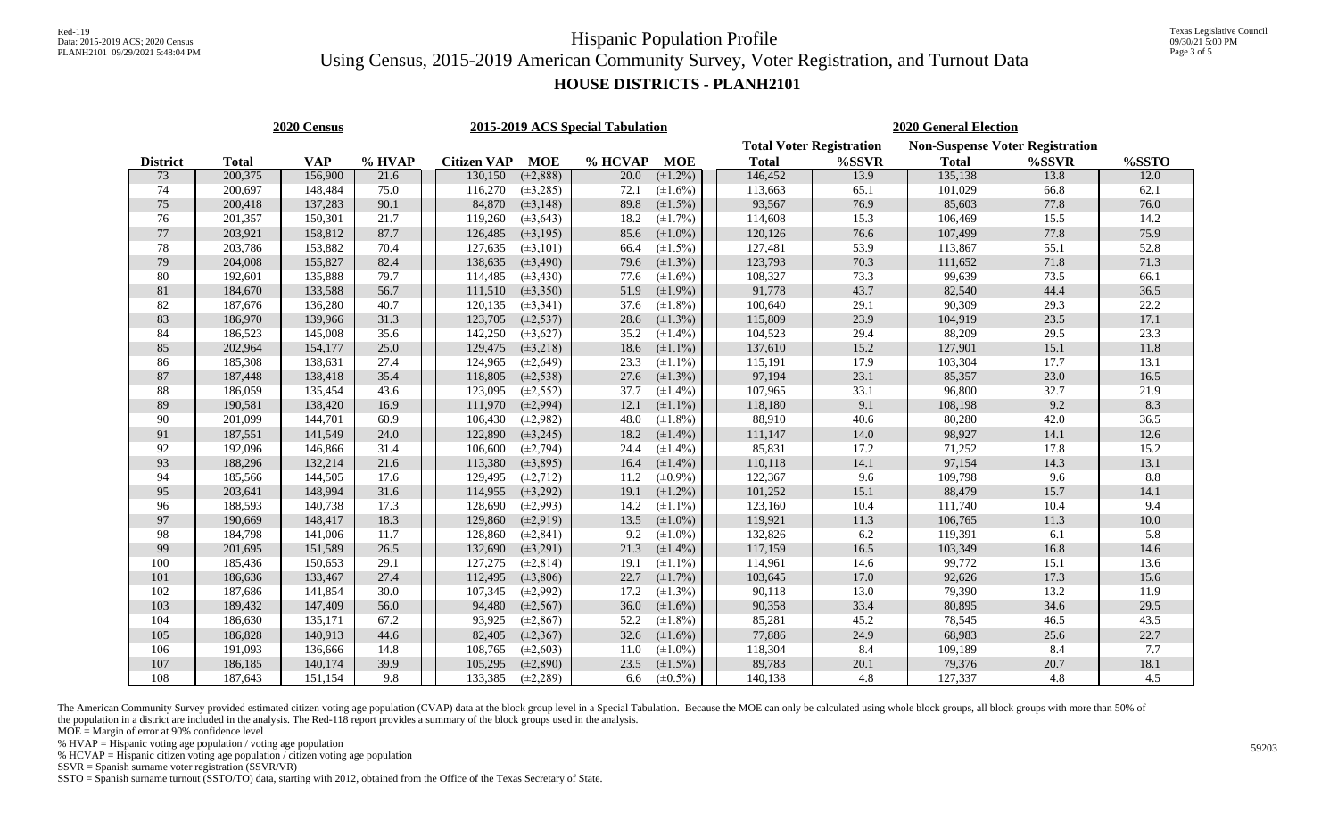### **HOUSE DISTRICTS - PLANH2101**

| 2020 Census     |              |            |        |  |                    |                | 2015-2019 ACS Special Tabulation |               |  | <b>2020 General Election</b> |       |              |                                                 |          |  |  |
|-----------------|--------------|------------|--------|--|--------------------|----------------|----------------------------------|---------------|--|------------------------------|-------|--------------|-------------------------------------------------|----------|--|--|
|                 |              |            |        |  |                    |                | <b>Total Voter Registration</b>  |               |  |                              |       |              |                                                 |          |  |  |
| <b>District</b> | <b>Total</b> | <b>VAP</b> | % HVAP |  | <b>Citizen VAP</b> | <b>MOE</b>     | % HCVAP                          | <b>MOE</b>    |  | <b>Total</b>                 | %SSVR | <b>Total</b> | <b>Non-Suspense Voter Registration</b><br>%SSVR | %SSTO    |  |  |
| 73              | 200,375      | 156,900    | 21.6   |  | 130,150            | $(\pm 2, 888)$ | 20.0                             | $(\pm 1.2\%)$ |  | 146,452                      | 13.9  | 135,138      | 13.8                                            | 12.0     |  |  |
| 74              | 200,697      | 148,484    | 75.0   |  | 116,270            | $(\pm 3, 285)$ | 72.1                             | $(\pm 1.6\%)$ |  | 113,663                      | 65.1  | 101,029      | 66.8                                            | 62.1     |  |  |
| $75\,$          | 200,418      | 137,283    | 90.1   |  | 84,870             | $(\pm 3, 148)$ | 89.8                             | $(\pm 1.5\%)$ |  | 93,567                       | 76.9  | 85,603       | 77.8                                            | 76.0     |  |  |
| 76              | 201,357      | 150,301    | 21.7   |  | 119,260            | $(\pm 3, 643)$ | 18.2                             | $(\pm 1.7\%)$ |  | 114,608                      | 15.3  | 106,469      | 15.5                                            | 14.2     |  |  |
| $77\,$          | 203,921      | 158,812    | 87.7   |  | 126,485            | $(\pm 3, 195)$ | 85.6                             | $(\pm 1.0\%)$ |  | 120,126                      | 76.6  | 107,499      | 77.8                                            | 75.9     |  |  |
| $78\,$          | 203,786      | 153,882    | 70.4   |  | 127,635            | $(\pm 3, 101)$ | 66.4                             | $(\pm 1.5\%)$ |  | 127,481                      | 53.9  | 113,867      | 55.1                                            | 52.8     |  |  |
| 79              | 204,008      | 155,827    | 82.4   |  | 138,635            | $(\pm 3, 490)$ | 79.6                             | $(\pm 1.3\%)$ |  | 123,793                      | 70.3  | 111,652      | 71.8                                            | 71.3     |  |  |
| $80\,$          | 192,601      | 135,888    | 79.7   |  | 114,485            | $(\pm 3, 430)$ | 77.6                             | $(\pm 1.6\%)$ |  | 108,327                      | 73.3  | 99,639       | 73.5                                            | 66.1     |  |  |
| $81\,$          | 184,670      | 133,588    | 56.7   |  | 111,510            | $(\pm 3, 350)$ | 51.9                             | $(\pm 1.9\%)$ |  | 91,778                       | 43.7  | 82,540       | 44.4                                            | 36.5     |  |  |
| 82              | 187,676      | 136,280    | 40.7   |  | 120,135            | $(\pm 3, 341)$ | 37.6                             | $(\pm 1.8\%)$ |  | 100,640                      | 29.1  | 90,309       | 29.3                                            | 22.2     |  |  |
| 83              | 186,970      | 139,966    | 31.3   |  | 123,705            | $(\pm 2, 537)$ | 28.6                             | $(\pm 1.3\%)$ |  | 115,809                      | 23.9  | 104,919      | 23.5                                            | 17.1     |  |  |
| 84              | 186,523      | 145,008    | 35.6   |  | 142,250            | $(\pm 3, 627)$ | 35.2                             | $(\pm 1.4\%)$ |  | 104,523                      | 29.4  | 88,209       | 29.5                                            | 23.3     |  |  |
| 85              | 202,964      | 154,177    | 25.0   |  | 129,475            | $(\pm 3, 218)$ | 18.6                             | $(\pm 1.1\%)$ |  | 137,610                      | 15.2  | 127,901      | 15.1                                            | 11.8     |  |  |
| 86              | 185,308      | 138,631    | 27.4   |  | 124,965            | $(\pm 2, 649)$ | 23.3                             | $(\pm 1.1\%)$ |  | 115,191                      | 17.9  | 103,304      | 17.7                                            | 13.1     |  |  |
| 87              | 187,448      | 138,418    | 35.4   |  | 118,805            | $(\pm 2, 538)$ | 27.6                             | $(\pm 1.3\%)$ |  | 97,194                       | 23.1  | 85,357       | 23.0                                            | $16.5\,$ |  |  |
| 88              | 186,059      | 135,454    | 43.6   |  | 123,095            | $(\pm 2, 552)$ | 37.7                             | $(\pm 1.4\%)$ |  | 107,965                      | 33.1  | 96,800       | 32.7                                            | 21.9     |  |  |
| 89              | 190,581      | 138,420    | 16.9   |  | 111,970            | $(\pm 2, 994)$ | 12.1                             | $(\pm 1.1\%)$ |  | 118,180                      | 9.1   | 108,198      | 9.2                                             | 8.3      |  |  |
| 90              | 201,099      | 144,701    | 60.9   |  | 106,430            | $(\pm 2,982)$  | 48.0                             | $(\pm 1.8\%)$ |  | 88,910                       | 40.6  | 80,280       | 42.0                                            | 36.5     |  |  |
| 91              | 187,551      | 141,549    | 24.0   |  | 122,890            | $(\pm 3, 245)$ | 18.2                             | $(\pm 1.4\%)$ |  | 111,147                      | 14.0  | 98,927       | 14.1                                            | 12.6     |  |  |
| $92\,$          | 192,096      | 146,866    | 31.4   |  | 106,600            | $(\pm 2, 794)$ | 24.4                             | $(\pm 1.4\%)$ |  | 85,831                       | 17.2  | 71,252       | 17.8                                            | 15.2     |  |  |
| 93              | 188,296      | 132,214    | 21.6   |  | 113,380            | $(\pm 3, 895)$ | 16.4                             | $(\pm 1.4\%)$ |  | 110,118                      | 14.1  | 97,154       | 14.3                                            | 13.1     |  |  |
| 94              | 185,566      | 144,505    | 17.6   |  | 129,495            | $(\pm 2, 712)$ | 11.2                             | $(\pm 0.9\%)$ |  | 122,367                      | 9.6   | 109,798      | 9.6                                             | 8.8      |  |  |
| 95              | 203,641      | 148,994    | 31.6   |  | 114,955            | $(\pm 3, 292)$ | 19.1                             | $(\pm 1.2\%)$ |  | 101,252                      | 15.1  | 88,479       | 15.7                                            | 14.1     |  |  |
| 96              | 188,593      | 140,738    | 17.3   |  | 128,690            | $(\pm 2, 993)$ | 14.2                             | $(\pm 1.1\%)$ |  | 123,160                      | 10.4  | 111,740      | 10.4                                            | 9.4      |  |  |
| 97              | 190,669      | 148,417    | 18.3   |  | 129,860            | $(\pm 2, 919)$ | 13.5                             | $(\pm 1.0\%)$ |  | 119,921                      | 11.3  | 106,765      | 11.3                                            | $10.0\,$ |  |  |
| 98              | 184,798      | 141,006    | 11.7   |  | 128,860            | $(\pm 2, 841)$ | 9.2                              | $(\pm 1.0\%)$ |  | 132,826                      | 6.2   | 119,391      | 6.1                                             | 5.8      |  |  |
| 99              | 201,695      | 151,589    | 26.5   |  | 132,690            | $(\pm 3, 291)$ | 21.3                             | $(\pm 1.4\%)$ |  | 117,159                      | 16.5  | 103,349      | 16.8                                            | 14.6     |  |  |
| 100             | 185,436      | 150,653    | 29.1   |  | 127,275            | $(\pm 2, 814)$ | 19.1                             | $(\pm 1.1\%)$ |  | 114,961                      | 14.6  | 99,772       | 15.1                                            | 13.6     |  |  |
| 101             | 186,636      | 133,467    | 27.4   |  | 112,495            | $(\pm 3, 806)$ | 22.7                             | $(\pm 1.7\%)$ |  | 103,645                      | 17.0  | 92,626       | 17.3                                            | 15.6     |  |  |
| 102             | 187,686      | 141,854    | 30.0   |  | 107,345            | $(\pm 2,992)$  | 17.2                             | $(\pm 1.3\%)$ |  | 90,118                       | 13.0  | 79,390       | 13.2                                            | 11.9     |  |  |
| 103             | 189,432      | 147,409    | 56.0   |  | 94,480             | $(\pm 2, 567)$ | 36.0                             | $(\pm 1.6\%)$ |  | 90,358                       | 33.4  | 80,895       | 34.6                                            | 29.5     |  |  |
| 104             | 186,630      | 135,171    | 67.2   |  | 93,925             | $(\pm 2, 867)$ | 52.2                             | $(\pm 1.8\%)$ |  | 85,281                       | 45.2  | 78,545       | 46.5                                            | 43.5     |  |  |
| 105             | 186,828      | 140,913    | 44.6   |  | 82,405             | $(\pm 2, 367)$ | 32.6                             | $(\pm 1.6\%)$ |  | 77,886                       | 24.9  | 68,983       | 25.6                                            | 22.7     |  |  |
| 106             | 191,093      | 136,666    | 14.8   |  | 108,765            | $(\pm 2, 603)$ | 11.0                             | $(\pm 1.0\%)$ |  | 118,304                      | 8.4   | 109,189      | 8.4                                             | 7.7      |  |  |
| 107             | 186,185      | 140,174    | 39.9   |  | 105,295            | $(\pm 2, 890)$ | 23.5                             | $(\pm 1.5\%)$ |  | 89,783                       | 20.1  | 79,376       | 20.7                                            | 18.1     |  |  |
| 108             | 187,643      | 151,154    | 9.8    |  | 133,385            | $(\pm 2, 289)$ | 6.6                              | $(\pm 0.5\%)$ |  | 140,138                      | 4.8   | 127,337      | 4.8                                             | 4.5      |  |  |

The American Community Survey provided estimated citizen voting age population (CVAP) data at the block group level in a Special Tabulation. Because the MOE can only be calculated using whole block groups, all block groups the population in a district are included in the analysis. The Red-118 report provides a summary of the block groups used in the analysis.

 $MOE = Margin$  of error at 90% confidence level

% HVAP = Hispanic voting age population / voting age population

% HCVAP = Hispanic citizen voting age population  $\sqrt{\overline{C}}$  citizen voting age population

SSVR = Spanish surname voter registration (SSVR/VR)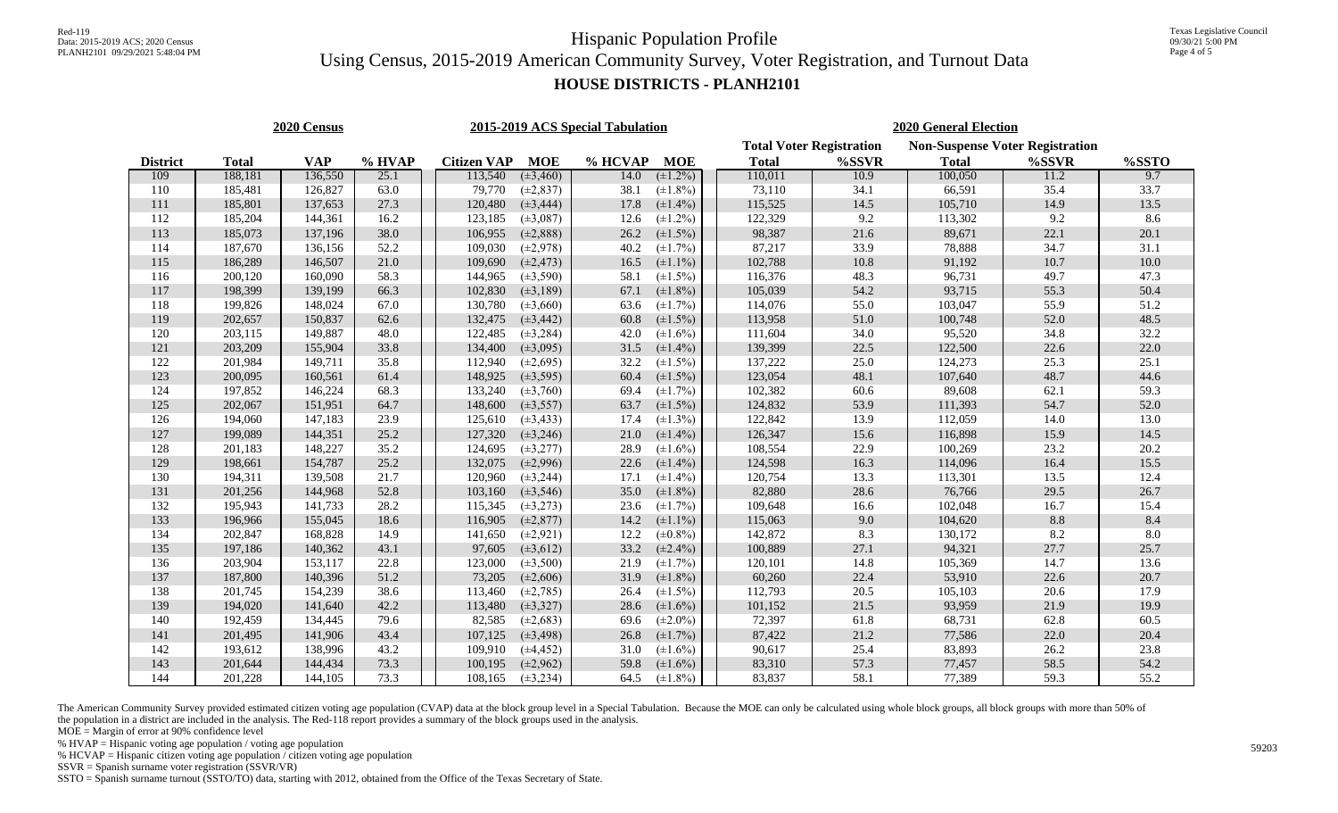### **HOUSE DISTRICTS - PLANH2101**

|                 |              | 2020 Census |        |                    |                | 2015-2019 ACS Special Tabulation |               | <b>2020 General Election</b>    |                                        |              |       |       |  |  |
|-----------------|--------------|-------------|--------|--------------------|----------------|----------------------------------|---------------|---------------------------------|----------------------------------------|--------------|-------|-------|--|--|
|                 |              |             |        |                    |                |                                  |               | <b>Total Voter Registration</b> | <b>Non-Suspense Voter Registration</b> |              |       |       |  |  |
| <b>District</b> | <b>Total</b> | <b>VAP</b>  | % HVAP | <b>Citizen VAP</b> | <b>MOE</b>     | % HCVAP                          | <b>MOE</b>    | <b>Total</b>                    | %SSVR                                  | <b>Total</b> | %SSVR | %SSTO |  |  |
| 109             | 188,181      | 136,550     | 25.1   | 113,540            | $(\pm 3, 460)$ | 14.0                             | $(\pm 1.2\%)$ | 110,011                         | 10.9                                   | 100,050      | 11.2  | 9.7   |  |  |
| 110             | 185,481      | 126,827     | 63.0   | 79,770             | $(\pm 2, 837)$ | 38.1                             | $(\pm 1.8\%)$ | 73,110                          | 34.1                                   | 66,591       | 35.4  | 33.7  |  |  |
| 111             | 185,801      | 137,653     | 27.3   | 120,480            | $(\pm 3, 444)$ | 17.8                             | $(\pm 1.4\%)$ | 115,525                         | 14.5                                   | 105,710      | 14.9  | 13.5  |  |  |
| 112             | 185,204      | 144,361     | 16.2   | 123,185            | $(\pm 3,087)$  | 12.6                             | $(\pm 1.2\%)$ | 122,329                         | 9.2                                    | 113,302      | 9.2   | 8.6   |  |  |
| 113             | 185,073      | 137,196     | 38.0   | 106,955            | $(\pm 2, 888)$ | 26.2                             | $(\pm 1.5\%)$ | 98,387                          | 21.6                                   | 89,671       | 22.1  | 20.1  |  |  |
| 114             | 187,670      | 136,156     | 52.2   | 109,030            | $(\pm 2, 978)$ | 40.2                             | $(\pm 1.7\%)$ | 87,217                          | 33.9                                   | 78,888       | 34.7  | 31.1  |  |  |
| 115             | 186,289      | 146,507     | 21.0   | 109,690            | $(\pm 2, 473)$ | 16.5                             | $(\pm 1.1\%)$ | 102,788                         | 10.8                                   | 91,192       | 10.7  | 10.0  |  |  |
| 116             | 200,120      | 160,090     | 58.3   | 144,965            | $(\pm 3, 590)$ | 58.1                             | $(\pm 1.5\%)$ | 116,376                         | 48.3                                   | 96,731       | 49.7  | 47.3  |  |  |
| 117             | 198,399      | 139,199     | 66.3   | 102,830            | $(\pm 3, 189)$ | 67.1                             | $(\pm 1.8\%)$ | 105,039                         | 54.2                                   | 93,715       | 55.3  | 50.4  |  |  |
| 118             | 199,826      | 148,024     | 67.0   | 130,780            | $(\pm 3, 660)$ | 63.6                             | $(\pm 1.7\%)$ | 114,076                         | 55.0                                   | 103,047      | 55.9  | 51.2  |  |  |
| 119             | 202,657      | 150,837     | 62.6   | 132,475            | $(\pm 3, 442)$ | 60.8                             | $(\pm 1.5\%)$ | 113,958                         | 51.0                                   | 100,748      | 52.0  | 48.5  |  |  |
| 120             | 203,115      | 149,887     | 48.0   | 122,485            | $(\pm 3, 284)$ | 42.0                             | $(\pm 1.6\%)$ | 111,604                         | 34.0                                   | 95,520       | 34.8  | 32.2  |  |  |
| 121             | 203,209      | 155,904     | 33.8   | 134,400            | $(\pm 3,095)$  | 31.5                             | $(\pm 1.4\%)$ | 139,399                         | 22.5                                   | 122,500      | 22.6  | 22.0  |  |  |
| 122             | 201,984      | 149,711     | 35.8   | 112,940            | $(\pm 2,695)$  | 32.2                             | $(\pm 1.5\%)$ | 137,222                         | 25.0                                   | 124,273      | 25.3  | 25.1  |  |  |
| 123             | 200,095      | 160,561     | 61.4   | 148,925            | $(\pm 3, 595)$ | 60.4                             | $(\pm 1.5\%)$ | 123,054                         | 48.1                                   | 107,640      | 48.7  | 44.6  |  |  |
| 124             | 197,852      | 146,224     | 68.3   | 133,240            | $(\pm 3, 760)$ | 69.4                             | $(\pm 1.7\%)$ | 102,382                         | 60.6                                   | 89,608       | 62.1  | 59.3  |  |  |
| 125             | 202,067      | 151,951     | 64.7   | 148,600            | $(\pm 3, 557)$ | 63.7                             | $(\pm 1.5\%)$ | 124,832                         | 53.9                                   | 111,393      | 54.7  | 52.0  |  |  |
| 126             | 194,060      | 147,183     | 23.9   | 125,610            | $(\pm 3, 433)$ | 17.4                             | $(\pm 1.3\%)$ | 122,842                         | 13.9                                   | 112,059      | 14.0  | 13.0  |  |  |
| 127             | 199,089      | 144,351     | 25.2   | 127,320            | $(\pm 3, 246)$ | 21.0                             | $(\pm 1.4\%)$ | 126,347                         | 15.6                                   | 116,898      | 15.9  | 14.5  |  |  |
| 128             | 201,183      | 148,227     | 35.2   | 124,695            | $(\pm 3, 277)$ | 28.9                             | $(\pm 1.6\%)$ | 108,554                         | 22.9                                   | 100,269      | 23.2  | 20.2  |  |  |
| 129             | 198,661      | 154,787     | 25.2   | 132,075            | $(\pm 2,996)$  | 22.6                             | $(\pm 1.4\%)$ | 124,598                         | 16.3                                   | 114,096      | 16.4  | 15.5  |  |  |
| 130             | 194,311      | 139,508     | 21.7   | 120,960            | $(\pm 3, 244)$ | 17.1                             | $(\pm 1.4\%)$ | 120,754                         | 13.3                                   | 113,301      | 13.5  | 12.4  |  |  |
| 131             | 201,256      | 144,968     | 52.8   | 103,160            | $(\pm 3, 546)$ | 35.0                             | $(\pm 1.8\%)$ | 82,880                          | 28.6                                   | 76,766       | 29.5  | 26.7  |  |  |
| 132             | 195,943      | 141,733     | 28.2   | 115,345            | $(\pm 3, 273)$ | 23.6                             | $(\pm 1.7\%)$ | 109,648                         | 16.6                                   | 102,048      | 16.7  | 15.4  |  |  |
| 133             | 196,966      | 155,045     | 18.6   | 116,905            | $(\pm 2, 877)$ | 14.2                             | $(\pm 1.1\%)$ | 115,063                         | 9.0                                    | 104,620      | 8.8   | 8.4   |  |  |
| 134             | 202,847      | 168,828     | 14.9   | 141,650            | $(\pm 2, 921)$ | 12.2                             | $(\pm 0.8\%)$ | 142,872                         | 8.3                                    | 130,172      | 8.2   | 8.0   |  |  |
| 135             | 197,186      | 140,362     | 43.1   | 97,605             | $(\pm 3, 612)$ | 33.2                             | $(\pm 2.4\%)$ | 100,889                         | 27.1                                   | 94,321       | 27.7  | 25.7  |  |  |
| 136             | 203,904      | 153,117     | 22.8   | 123,000            | $(\pm 3, 500)$ | 21.9                             | $(\pm 1.7\%)$ | 120,101                         | 14.8                                   | 105,369      | 14.7  | 13.6  |  |  |
| 137             | 187,800      | 140,396     | 51.2   | 73,205             | $(\pm 2,606)$  | 31.9                             | $(\pm 1.8\%)$ | 60,260                          | 22.4                                   | 53,910       | 22.6  | 20.7  |  |  |
| 138             | 201,745      | 154,239     | 38.6   | 113,460            | $(\pm 2, 785)$ | 26.4                             | $(\pm 1.5\%)$ | 112,793                         | 20.5                                   | 105,103      | 20.6  | 17.9  |  |  |
| 139             | 194,020      | 141,640     | 42.2   | 113,480            | $(\pm 3, 327)$ | 28.6                             | $(\pm 1.6\%)$ | 101,152                         | 21.5                                   | 93,959       | 21.9  | 19.9  |  |  |
| 140             | 192,459      | 134,445     | 79.6   | 82,585             | $(\pm 2, 683)$ | 69.6                             | $(\pm 2.0\%)$ | 72,397                          | 61.8                                   | 68,731       | 62.8  | 60.5  |  |  |
| 141             | 201,495      | 141,906     | 43.4   | 107,125            | $(\pm 3, 498)$ | 26.8                             | $(\pm 1.7\%)$ | 87,422                          | 21.2                                   | 77,586       | 22.0  | 20.4  |  |  |
| 142             | 193,612      | 138,996     | 43.2   | 109,910            | $(\pm 4, 452)$ | 31.0                             | $(\pm 1.6\%)$ | 90,617                          | 25.4                                   | 83,893       | 26.2  | 23.8  |  |  |
| 143             | 201,644      | 144,434     | 73.3   | 100,195            | $(\pm 2, 962)$ | 59.8                             | $(\pm 1.6\%)$ | 83,310                          | 57.3                                   | 77,457       | 58.5  | 54.2  |  |  |
| 144             | 201,228      | 144,105     | 73.3   | 108,165            | $(\pm 3, 234)$ | 64.5                             | $(\pm 1.8\%)$ | 83,837                          | 58.1                                   | 77,389       | 59.3  | 55.2  |  |  |

The American Community Survey provided estimated citizen voting age population (CVAP) data at the block group level in a Special Tabulation. Because the MOE can only be calculated using whole block groups, all block groups the population in a district are included in the analysis. The Red-118 report provides a summary of the block groups used in the analysis.

 $MOE = Margin$  of error at 90% confidence level

% HVAP = Hispanic voting age population / voting age population

% HCVAP = Hispanic citizen voting age population  $\sqrt{\overline{C}}$  citizen voting age population

SSVR = Spanish surname voter registration (SSVR/VR)